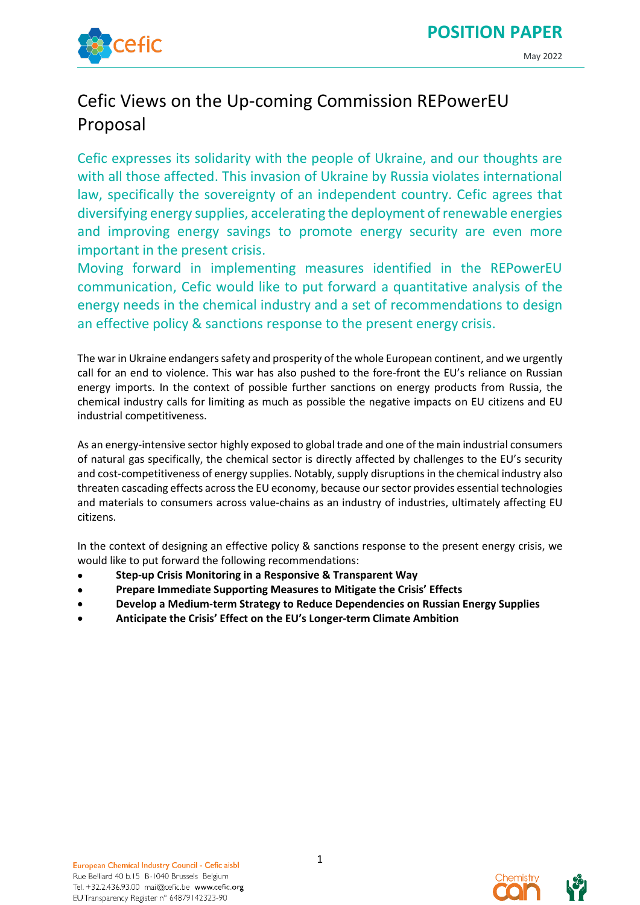



# Cefic Views on the Up-coming Commission REPowerEU Proposal

Cefic expresses its solidarity with the people of Ukraine, and our thoughts are with all those affected. This invasion of Ukraine by Russia violates international law, specifically the sovereignty of an independent country. Cefic agrees that diversifying energy supplies, accelerating the deployment of renewable energies and improving energy savings to promote energy security are even more important in the present crisis.

Moving forward in implementing measures identified in the REPowerEU communication, Cefic would like to put forward a quantitative analysis of the energy needs in the chemical industry and a set of recommendations to design an effective policy & sanctions response to the present energy crisis.

The war in Ukraine endangers safety and prosperity of the whole European continent, and we urgently call for an end to violence. This war has also pushed to the fore-front the EU's reliance on Russian energy imports. In the context of possible further sanctions on energy products from Russia, the chemical industry calls for limiting as much as possible the negative impacts on EU citizens and EU industrial competitiveness.

As an energy-intensive sector highly exposed to global trade and one of the main industrial consumers of natural gas specifically, the chemical sector is directly affected by challenges to the EU's security and cost-competitiveness of energy supplies. Notably, supply disruptions in the chemical industry also threaten cascading effects across the EU economy, because oursector provides essential technologies and materials to consumers across value-chains as an industry of industries, ultimately affecting EU citizens.

In the context of designing an effective policy & sanctions response to the present energy crisis, we would like to put forward the following recommendations:

- **Step-up Crisis Monitoring in a Responsive & Transparent Way**
- **Prepare Immediate Supporting Measures to Mitigate the Crisis' Effects**
- **Develop a Medium-term Strategy to Reduce Dependencies on Russian Energy Supplies**
- **Anticipate the Crisis' Effect on the EU's Longer-term Climate Ambition**



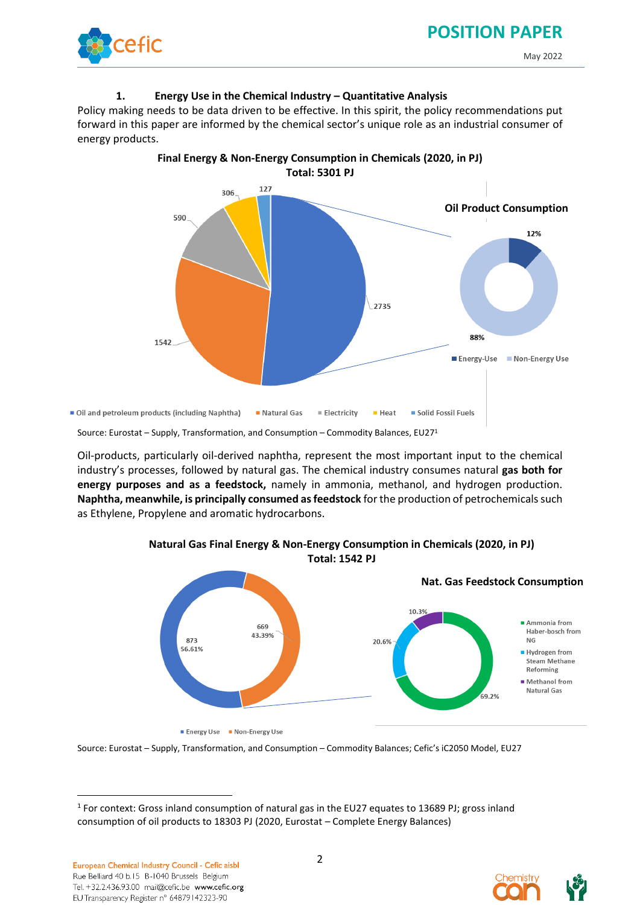## **POSITION PAPER**



#### May 2022

#### **1. Energy Use in the Chemical Industry – Quantitative Analysis**

Policy making needs to be data driven to be effective. In this spirit, the policy recommendations put forward in this paper are informed by the chemical sector's unique role as an industrial consumer of energy products.



Source: Eurostat – Supply, Transformation, and Consumption – Commodity Balances, EU27<sup>1</sup>

Oil-products, particularly oil-derived naphtha, represent the most important input to the chemical industry's processes, followed by natural gas. The chemical industry consumes natural **gas both for energy purposes and as a feedstock,** namely in ammonia, methanol, and hydrogen production. **Naphtha, meanwhile, is principally consumed as feedstock** for the production of petrochemicals such as Ethylene, Propylene and aromatic hydrocarbons.



**Natural Gas Final Energy & Non-Energy Consumption in Chemicals (2020, in PJ) Total: 1542 PJ**

Source: Eurostat – Supply, Transformation, and Consumption – Commodity Balances; Cefic's iC2050 Model, EU27



<sup>&</sup>lt;sup>1</sup> For context: Gross inland consumption of natural gas in the EU27 equates to 13689 PJ; gross inland consumption of oil products to 18303 PJ (2020, Eurostat – Complete Energy Balances)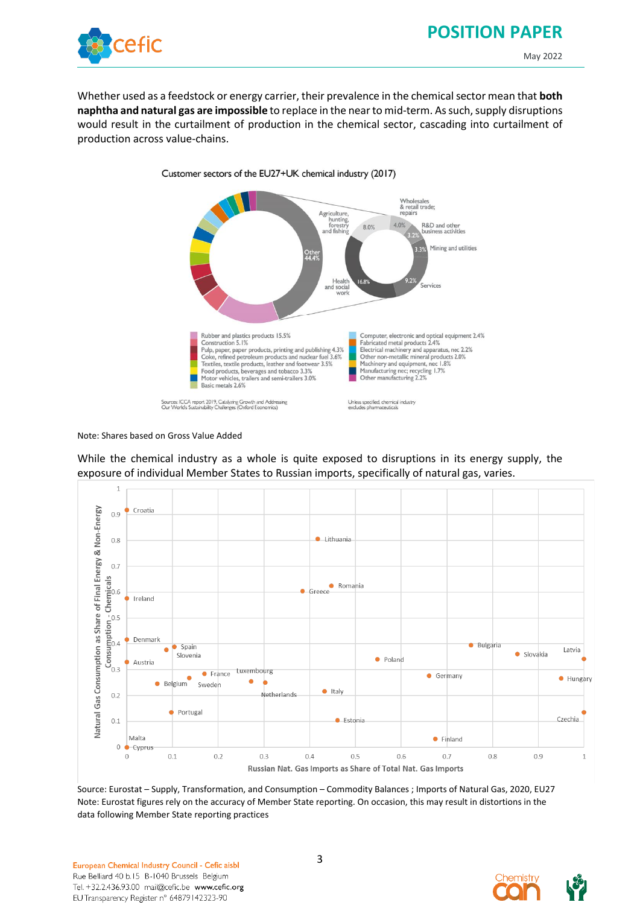## **POSITION PAPER**



May 2022

Whether used as a feedstock or energy carrier, their prevalence in the chemical sector mean that **both naphtha and natural gas are impossible** to replace in the near to mid-term. As such, supply disruptions would result in the curtailment of production in the chemical sector, cascading into curtailment of production across value-chains.



Note: Shares based on Gross Value Added

While the chemical industry as a whole is quite exposed to disruptions in its energy supply, the exposure of individual Member States to Russian imports, specifically of natural gas, varies.



Source: Eurostat – Supply, Transformation, and Consumption – Commodity Balances ; Imports of Natural Gas, 2020, EU27 Note: Eurostat figures rely on the accuracy of Member State reporting. On occasion, this may result in distortions in the data following Member State reporting practices

European Chemical Industry Council - Cefic aisbl Rue Belliard 40 b.15 B-1040 Brussels Belgium Tel. +32.2.436.93.00 mail@cefic.be www.cefic.org EU Transparency Register n° 64879142323-90

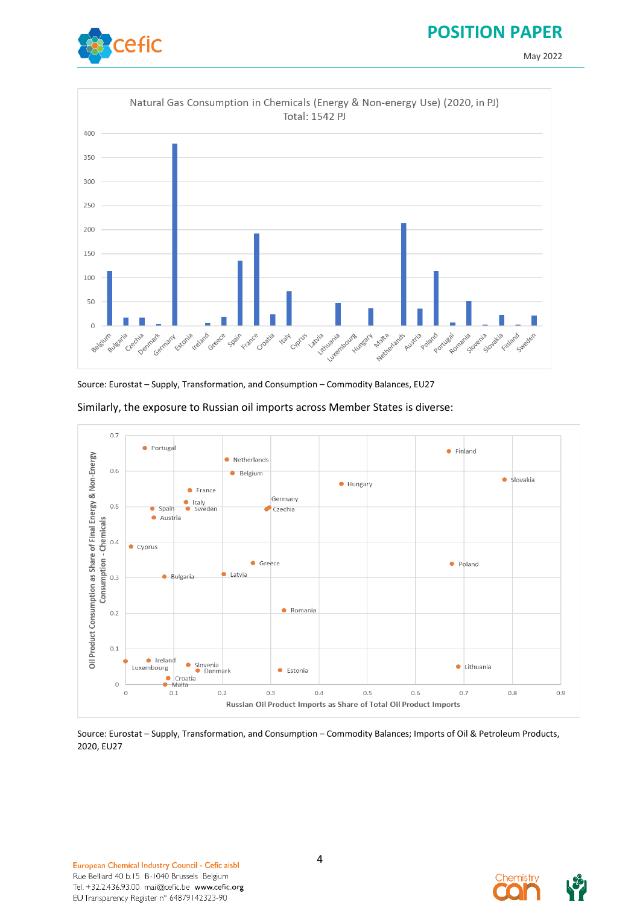### **POSITION PAPER**

May 2022



Natural Gas Consumption in Chemicals (Energy & Non-energy Use) (2020, in PJ) Total: 1542 PJ 400 350 300 250 200 150 100 50  $\overline{0}$ Nationalist Luxembourg **Decile** Austria Poland Pc e Spain stylia uznia **Hungary Malta** Czechia Estonia relation Greece **Hall** Cyprus Porcusal pomania slovenia slovakia Bulgaria Denmark Germany France Croatia Belgium Finland Swede

Source: Eurostat – Supply, Transformation, and Consumption – Commodity Balances, EU27



Similarly, the exposure to Russian oil imports across Member States is diverse:

Source: Eurostat – Supply, Transformation, and Consumption – Commodity Balances; Imports of Oil & Petroleum Products, 2020, EU27

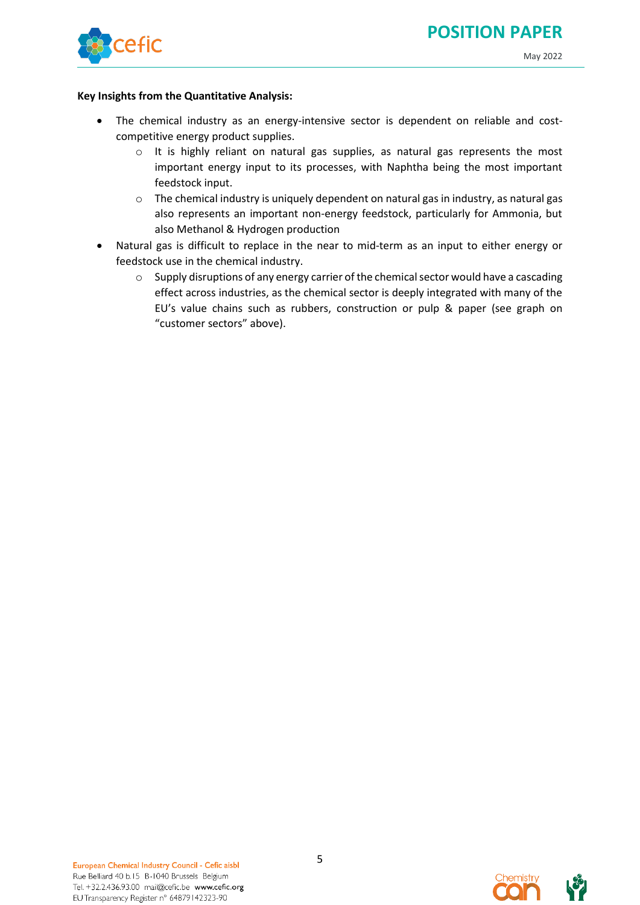



#### **Key Insights from the Quantitative Analysis:**

- The chemical industry as an energy-intensive sector is dependent on reliable and costcompetitive energy product supplies.
	- o It is highly reliant on natural gas supplies, as natural gas represents the most important energy input to its processes, with Naphtha being the most important feedstock input.
	- $\circ$  The chemical industry is uniquely dependent on natural gas in industry, as natural gas also represents an important non-energy feedstock, particularly for Ammonia, but also Methanol & Hydrogen production
- Natural gas is difficult to replace in the near to mid-term as an input to either energy or feedstock use in the chemical industry.
	- o Supply disruptions of any energy carrier of the chemical sector would have a cascading effect across industries, as the chemical sector is deeply integrated with many of the EU's value chains such as rubbers, construction or pulp & paper (see graph on "customer sectors" above).

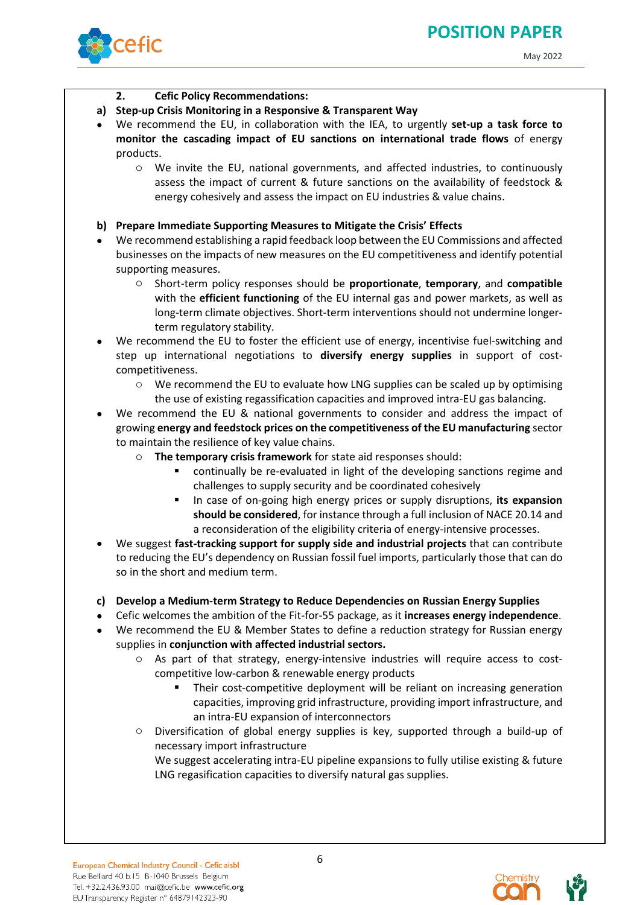

### **2. Cefic Policy Recommendations:**

- **a) Step-up Crisis Monitoring in a Responsive & Transparent Way**
- We recommend the EU, in collaboration with the IEA, to urgently **set-up a task force to monitor the cascading impact of EU sanctions on international trade flows** of energy products.
	- o We invite the EU, national governments, and affected industries, to continuously assess the impact of current & future sanctions on the availability of feedstock & energy cohesively and assess the impact on EU industries & value chains.

### **b) Prepare Immediate Supporting Measures to Mitigate the Crisis' Effects**

- We recommend establishing a rapid feedback loop between the EU Commissions and affected businesses on the impacts of new measures on the EU competitiveness and identify potential supporting measures.
	- o Short-term policy responses should be **proportionate**, **temporary**, and **compatible** with the **efficient functioning** of the EU internal gas and power markets, as well as long-term climate objectives. Short-term interventions should not undermine longerterm regulatory stability.
- We recommend the EU to foster the efficient use of energy, incentivise fuel-switching and step up international negotiations to **diversify energy supplies** in support of costcompetitiveness.
	- o We recommend the EU to evaluate how LNG supplies can be scaled up by optimising the use of existing regassification capacities and improved intra-EU gas balancing.
- We recommend the EU & national governments to consider and address the impact of growing **energy and feedstock prices on the competitiveness of the EU manufacturing** sector to maintain the resilience of key value chains.
	- The temporary crisis framework for state aid responses should:
		- continually be re-evaluated in light of the developing sanctions regime and challenges to supply security and be coordinated cohesively
		- In case of on-going high energy prices or supply disruptions, **its expansion should be considered**, for instance through a full inclusion of NACE 20.14 and a reconsideration of the eligibility criteria of energy-intensive processes.
- We suggest **fast-tracking support for supply side and industrial projects** that can contribute to reducing the EU's dependency on Russian fossil fuel imports, particularly those that can do so in the short and medium term.
- **c) Develop a Medium-term Strategy to Reduce Dependencies on Russian Energy Supplies**
- Cefic welcomes the ambition of the Fit-for-55 package, as it **increases energy independence**.
- We recommend the EU & Member States to define a reduction strategy for Russian energy supplies in **conjunction with affected industrial sectors.**
	- $\circ$  As part of that strategy, energy-intensive industries will require access to costcompetitive low-carbon & renewable energy products
		- Their cost-competitive deployment will be reliant on increasing generation capacities, improving grid infrastructure, providing import infrastructure, and an intra-EU expansion of interconnectors
	- o Diversification of global energy supplies is key, supported through a build-up of necessary import infrastructure We suggest accelerating intra-EU pipeline expansions to fully utilise existing & future LNG regasification capacities to diversify natural gas supplies.